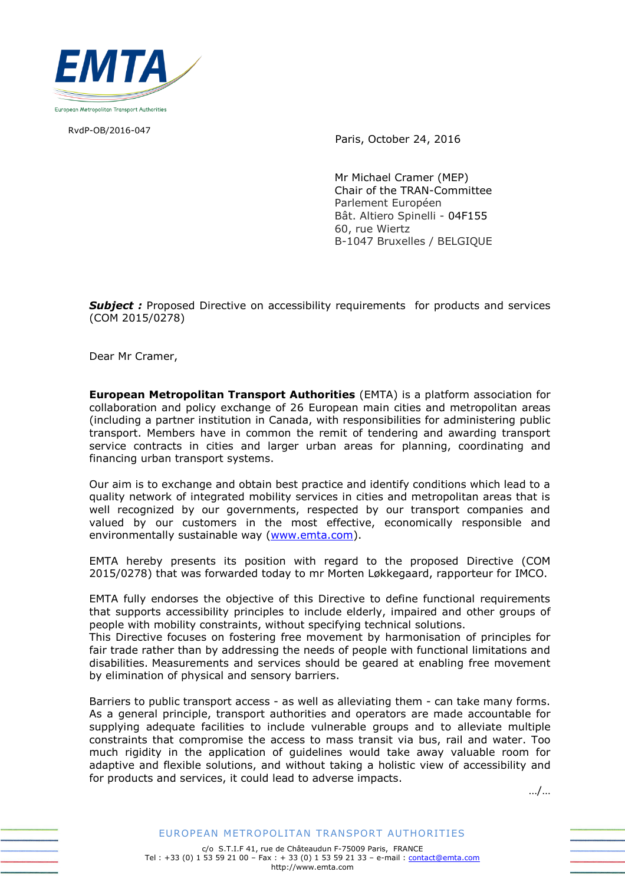

RvdP-OB/2016-047

Paris, October 24, 2016

Mr Michael Cramer (MEP) Chair of the TRAN-Committee Parlement Européen Bât. Altiero Spinelli - 04F155 60, rue Wiertz B-1047 Bruxelles / BELGIQUE

**Subject**: Proposed Directive on accessibility requirements for products and services (COM 2015/0278)

Dear Mr Cramer,

**European Metropolitan Transport Authorities** (EMTA) is a platform association for collaboration and policy exchange of 26 European main cities and metropolitan areas (including a partner institution in Canada, with responsibilities for administering public transport. Members have in common the remit of tendering and awarding transport service contracts in cities and larger urban areas for planning, coordinating and financing urban transport systems.

Our aim is to exchange and obtain best practice and identify conditions which lead to a quality network of integrated mobility services in cities and metropolitan areas that is well recognized by our governments, respected by our transport companies and valued by our customers in the most effective, economically responsible and environmentally sustainable way [\(www.emta.com\)](www.emta.com).

EMTA hereby presents its position with regard to the proposed Directive (COM 2015/0278) that was forwarded today to mr Morten Løkkegaard, rapporteur for IMCO.

EMTA fully endorses the objective of this Directive to define functional requirements that supports accessibility principles to include elderly, impaired and other groups of people with mobility constraints, without specifying technical solutions.

This Directive focuses on fostering free movement by harmonisation of principles for fair trade rather than by addressing the needs of people with functional limitations and disabilities. Measurements and services should be geared at enabling free movement by elimination of physical and sensory barriers.

Barriers to public transport access - as well as alleviating them - can take many forms. As a general principle, transport authorities and operators are made accountable for supplying adequate facilities to include vulnerable groups and to alleviate multiple constraints that compromise the access to mass transit via bus, rail and water. Too much rigidity in the application of guidelines would take away valuable room for adaptive and flexible solutions, and without taking a holistic view of accessibility and for products and services, it could lead to adverse impacts.

…/…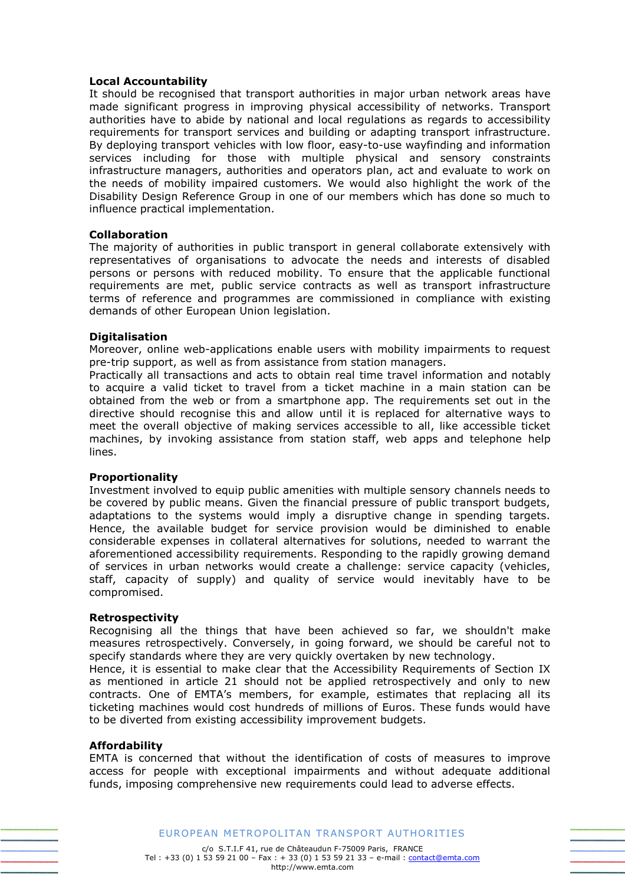# **Local Accountability**

It should be recognised that transport authorities in major urban network areas have made significant progress in improving physical accessibility of networks. Transport authorities have to abide by national and local regulations as regards to accessibility requirements for transport services and building or adapting transport infrastructure. By deploying transport vehicles with low floor, easy-to-use wayfinding and information services including for those with multiple physical and sensory constraints infrastructure managers, authorities and operators plan, act and evaluate to work on the needs of mobility impaired customers. We would also highlight the work of the Disability Design Reference Group in one of our members which has done so much to influence practical implementation.

## **Collaboration**

The majority of authorities in public transport in general collaborate extensively with representatives of organisations to advocate the needs and interests of disabled persons or persons with reduced mobility. To ensure that the applicable functional requirements are met, public service contracts as well as transport infrastructure terms of reference and programmes are commissioned in compliance with existing demands of other European Union legislation.

## **Digitalisation**

Moreover, online web-applications enable users with mobility impairments to request pre-trip support, as well as from assistance from station managers.

Practically all transactions and acts to obtain real time travel information and notably to acquire a valid ticket to travel from a ticket machine in a main station can be obtained from the web or from a smartphone app. The requirements set out in the directive should recognise this and allow until it is replaced for alternative ways to meet the overall objective of making services accessible to all, like accessible ticket machines, by invoking assistance from station staff, web apps and telephone help lines.

# **Proportionality**

Investment involved to equip public amenities with multiple sensory channels needs to be covered by public means. Given the financial pressure of public transport budgets, adaptations to the systems would imply a disruptive change in spending targets. Hence, the available budget for service provision would be diminished to enable considerable expenses in collateral alternatives for solutions, needed to warrant the aforementioned accessibility requirements. Responding to the rapidly growing demand of services in urban networks would create a challenge: service capacity (vehicles, staff, capacity of supply) and quality of service would inevitably have to be compromised.

## **Retrospectivity**

Recognising all the things that have been achieved so far, we shouldn't make measures retrospectively. Conversely, in going forward, we should be careful not to specify standards where they are very quickly overtaken by new technology.

Hence, it is essential to make clear that the Accessibility Requirements of Section IX as mentioned in article 21 should not be applied retrospectively and only to new contracts. One of EMTA's members, for example, estimates that replacing all its ticketing machines would cost hundreds of millions of Euros. These funds would have to be diverted from existing accessibility improvement budgets.

## **Affordability**

EMTA is concerned that without the identification of costs of measures to improve access for people with exceptional impairments and without adequate additional funds, imposing comprehensive new requirements could lead to adverse effects.